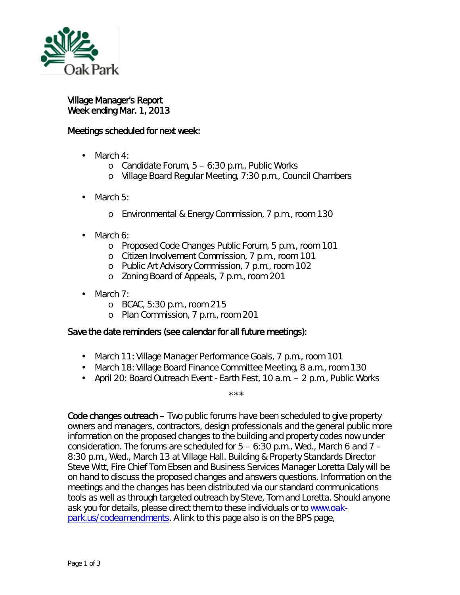

## Village Manager's Report Week ending Mar. 1, 2013

## Meetings scheduled for next week:

- March 4: a.
	- o Candidate Forum, 5 6:30 p.m., Public Works
	- o Village Board Regular Meeting, 7:30 p.m., Council Chambers
- March 5: ä,
	- o Environmental & Energy Commission, 7 p.m., room 130
- March 6: ä,
	- o Proposed Code Changes Public Forum, 5 p.m., room 101
	- o Citizen Involvement Commission, 7 p.m., room 101
	- o Public Art Advisory Commission, 7 p.m., room 102
	- <sup>o</sup> Zoning Board of Appeals, 7 p.m., room 201
- March 7:
	- o BCAC, 5:30 p.m., room 215
	- o Plan Commission, 7 p.m., room 201

## Save the date reminders (see calendar for all future meetings):

- March 11: Village Manager Performance Goals, 7 p.m., room 101
- March 18: Village Board Finance Committee Meeting, 8 a.m., room 130
- April 20: Board Outreach Event Earth Fest, 10 a.m. 2 p.m., Public Works

\*\*\*

Code changes outreach – Two public forums have been scheduled to give property owners and managers, contractors, design professionals and the general public more information on the proposed changes to the building and property codes now under consideration. The forums are scheduled for  $5 - 6:30$  p.m., Wed., March 6 and  $7 -$ 8:30 p.m., Wed., March 13 at Village Hall. Building & Property Standards Director Steve Witt, Fire Chief Tom Ebsen and Business Services Manager Loretta Daly will be on hand to discuss the proposed changes and answers questions. Information on the meetings and the changes has been distributed via our standard communications tools as well as through targeted outreach by Steve, Tom and Loretta. Should anyone ask you for details, please direct them to these individuals or to [www.oak](http://www.oak-park.us/codeamendments)[park.us/codeamendments.](http://www.oak-park.us/codeamendments) A link to this page also is on the BPS page,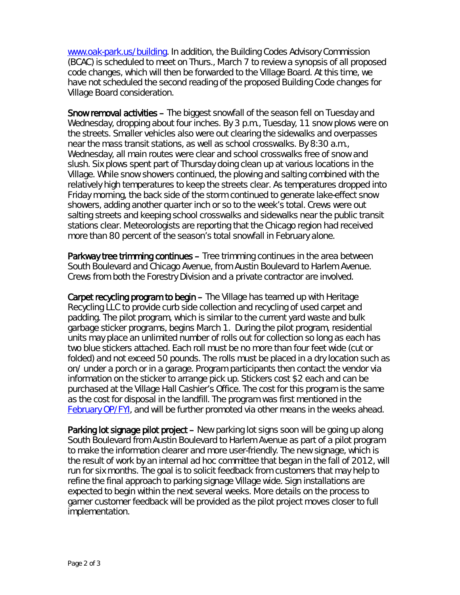[www.oak-park.us/building.](http://www.oak-park.us/building) In addition, the Building Codes Advisory Commission (BCAC) is scheduled to meet on Thurs., March 7 to review a synopsis of all proposed code changes, which will then be forwarded to the Village Board. At this time, we have not scheduled the second reading of the proposed Building Code changes for Village Board consideration.

Snow removal activities – The biggest snowfall of the season fell on Tuesday and Wednesday, dropping about four inches. By 3 p.m., Tuesday, 11 snow plows were on the streets. Smaller vehicles also were out clearing the sidewalks and overpasses near the mass transit stations, as well as school crosswalks. By 8:30 a.m., Wednesday, all main routes were clear and school crosswalks free of snow and slush. Six plows spent part of Thursday doing clean up at various locations in the Village. While snow showers continued, the plowing and salting combined with the relatively high temperatures to keep the streets clear. As temperatures dropped into Friday morning, the back side of the storm continued to generate lake-effect snow showers, adding another quarter inch or so to the week's total. Crews were out salting streets and keeping school crosswalks and sidewalks near the public transit stations clear. Meteorologists are reporting that the Chicago region had received more than 80 percent of the season's total snowfall in February alone.

Parkway tree trimming continues – Tree trimming continues in the area between South Boulevard and Chicago Avenue, from Austin Boulevard to Harlem Avenue. Crews from both the Forestry Division and a private contractor are involved.

Carpet recycling program to begin – The Village has teamed up with Heritage Recycling LLC to provide curb side collection and recycling of used carpet and padding. The pilot program, which is similar to the current yard waste and bulk garbage sticker programs, begins March 1. During the pilot program, residential units may place an unlimited number of rolls out for collection so long as each has two blue stickers attached. Each roll must be no more than four feet wide (cut or folded) and not exceed 50 pounds. The rolls must be placed in a dry location such as on/ under a porch or in a garage. Program participants then contact the vendor via information on the sticker to arrange pick up. Stickers cost \$2 each and can be purchased at the Village Hall Cashier's Office. The cost for this program is the same as the cost for disposal in the landfill. The program was first mentioned in the [February OP/FYI,](http://www.oak-park.us/FYI/F13/Export1.html) and will be further promoted via other means in the weeks ahead.

Parking lot signage pilot project – New parking lot signs soon will be going up along South Boulevard from Austin Boulevard to Harlem Avenue as part of a pilot program to make the information clearer and more user-friendly. The new signage, which is the result of work by an internal ad hoc committee that began in the fall of 2012, will run for six months. The goal is to solicit feedback from customers that may help to refine the final approach to parking signage Village wide. Sign installations are expected to begin within the next several weeks. More details on the process to garner customer feedback will be provided as the pilot project moves closer to full implementation.